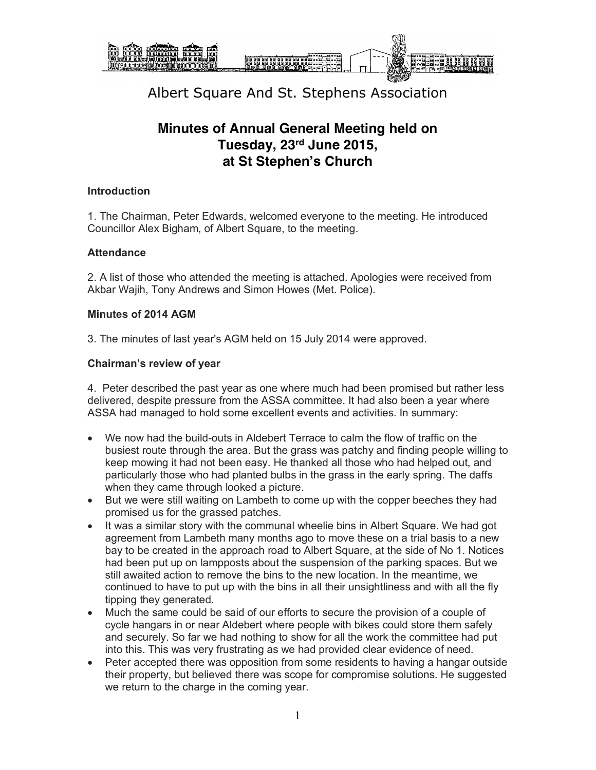

### **Minutes of Annual General Meeting held on Tuesday, 23rd June 2015, at St Stephen's Church**

#### **Introduction**

1. The Chairman, Peter Edwards, welcomed everyone to the meeting. He introduced Councillor Alex Bigham, of Albert Square, to the meeting.

#### **Attendance**

2. A list of those who attended the meeting is attached. Apologies were received from Akbar Wajih, Tony Andrews and Simon Howes (Met. Police).

#### **Minutes of 2014 AGM**

3. The minutes of last year's AGM held on 15 July 2014 were approved.

#### **Chairman's review of year**

4. Peter described the past year as one where much had been promised but rather less delivered, despite pressure from the ASSA committee. It had also been a year where ASSA had managed to hold some excellent events and activities. In summary:

- We now had the build-outs in Aldebert Terrace to calm the flow of traffic on the busiest route through the area. But the grass was patchy and finding people willing to keep mowing it had not been easy. He thanked all those who had helped out, and particularly those who had planted bulbs in the grass in the early spring. The daffs when they came through looked a picture.
- But we were still waiting on Lambeth to come up with the copper beeches they had promised us for the grassed patches.
- It was a similar story with the communal wheelie bins in Albert Square. We had got agreement from Lambeth many months ago to move these on a trial basis to a new bay to be created in the approach road to Albert Square, at the side of No 1. Notices had been put up on lampposts about the suspension of the parking spaces. But we still awaited action to remove the bins to the new location. In the meantime, we continued to have to put up with the bins in all their unsightliness and with all the fly tipping they generated.
- Much the same could be said of our efforts to secure the provision of a couple of cycle hangars in or near Aldebert where people with bikes could store them safely and securely. So far we had nothing to show for all the work the committee had put into this. This was very frustrating as we had provided clear evidence of need.
- Peter accepted there was opposition from some residents to having a hangar outside their property, but believed there was scope for compromise solutions. He suggested we return to the charge in the coming year.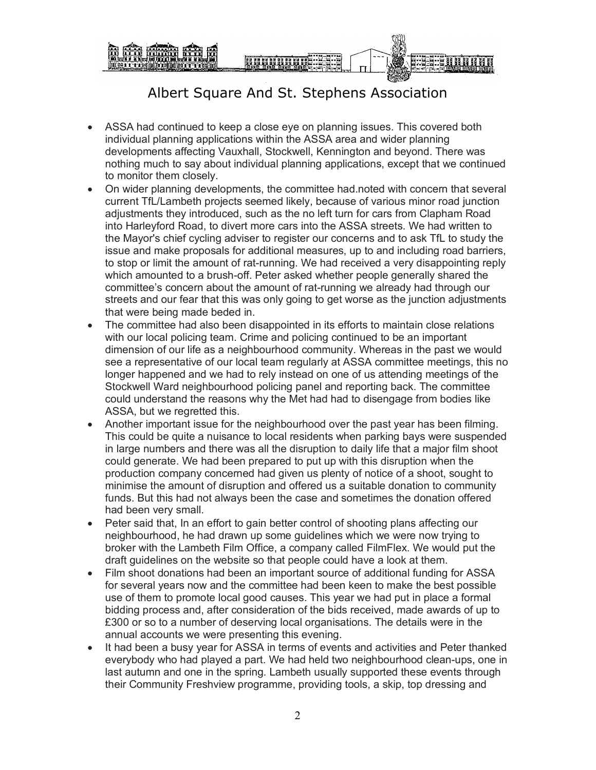

- ASSA had continued to keep a close eye on planning issues. This covered both individual planning applications within the ASSA area and wider planning developments affecting Vauxhall, Stockwell, Kennington and beyond. There was nothing much to say about individual planning applications, except that we continued to monitor them closely.
- On wider planning developments, the committee had.noted with concern that several current TfL/Lambeth projects seemed likely, because of various minor road junction adjustments they introduced, such as the no left turn for cars from Clapham Road into Harleyford Road, to divert more cars into the ASSA streets. We had written to the Mayor's chief cycling adviser to register our concerns and to ask TfL to study the issue and make proposals for additional measures, up to and including road barriers, to stop or limit the amount of rat-running. We had received a very disappointing reply which amounted to a brush-off. Peter asked whether people generally shared the committee's concern about the amount of rat-running we already had through our streets and our fear that this was only going to get worse as the junction adjustments that were being made beded in.
- The committee had also been disappointed in its efforts to maintain close relations with our local policing team. Crime and policing continued to be an important dimension of our life as a neighbourhood community. Whereas in the past we would see a representative of our local team regularly at ASSA committee meetings, this no longer happened and we had to rely instead on one of us attending meetings of the Stockwell Ward neighbourhood policing panel and reporting back. The committee could understand the reasons why the Met had had to disengage from bodies like ASSA, but we regretted this.
- Another important issue for the neighbourhood over the past year has been filming. This could be quite a nuisance to local residents when parking bays were suspended in large numbers and there was all the disruption to daily life that a major film shoot could generate. We had been prepared to put up with this disruption when the production company concerned had given us plenty of notice of a shoot, sought to minimise the amount of disruption and offered us a suitable donation to community funds. But this had not always been the case and sometimes the donation offered had been very small.
- Peter said that, In an effort to gain better control of shooting plans affecting our neighbourhood, he had drawn up some guidelines which we were now trying to broker with the Lambeth Film Office, a company called FilmFlex. We would put the draft guidelines on the website so that people could have a look at them.
- Film shoot donations had been an important source of additional funding for ASSA for several years now and the committee had been keen to make the best possible use of them to promote local good causes. This year we had put in place a formal bidding process and, after consideration of the bids received, made awards of up to £300 or so to a number of deserving local organisations. The details were in the annual accounts we were presenting this evening.
- It had been a busy year for ASSA in terms of events and activities and Peter thanked everybody who had played a part. We had held two neighbourhood clean-ups, one in last autumn and one in the spring. Lambeth usually supported these events through their Community Freshview programme, providing tools, a skip, top dressing and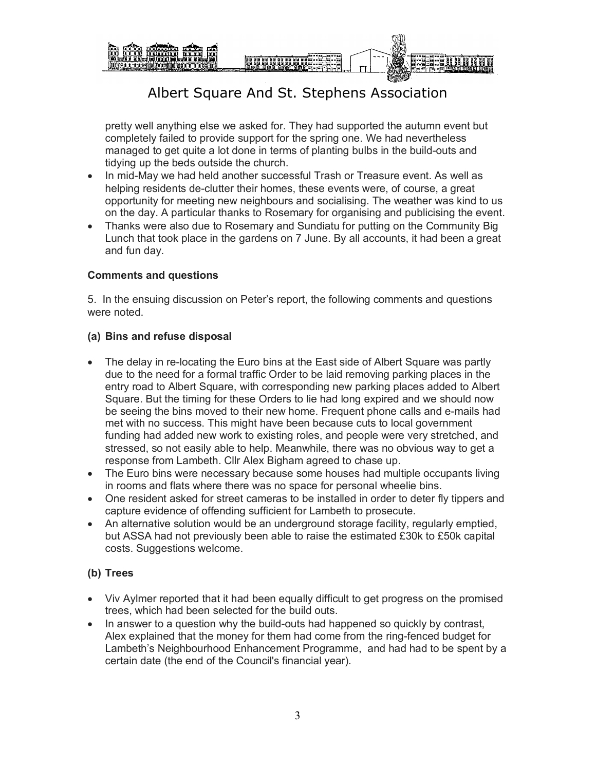

pretty well anything else we asked for. They had supported the autumn event but completely failed to provide support for the spring one. We had nevertheless managed to get quite a lot done in terms of planting bulbs in the build-outs and tidying up the beds outside the church.

- In mid-May we had held another successful Trash or Treasure event. As well as helping residents de-clutter their homes, these events were, of course, a great opportunity for meeting new neighbours and socialising. The weather was kind to us on the day. A particular thanks to Rosemary for organising and publicising the event.
- Thanks were also due to Rosemary and Sundiatu for putting on the Community Big Lunch that took place in the gardens on 7 June. By all accounts, it had been a great and fun day.

#### **Comments and questions**

5. In the ensuing discussion on Peter's report, the following comments and questions were noted.

#### **(a) Bins and refuse disposal**

- The delay in re-locating the Euro bins at the East side of Albert Square was partly due to the need for a formal traffic Order to be laid removing parking places in the entry road to Albert Square, with corresponding new parking places added to Albert Square. But the timing for these Orders to lie had long expired and we should now be seeing the bins moved to their new home. Frequent phone calls and e-mails had met with no success. This might have been because cuts to local government funding had added new work to existing roles, and people were very stretched, and stressed, so not easily able to help. Meanwhile, there was no obvious way to get a response from Lambeth. Cllr Alex Bigham agreed to chase up.
- The Euro bins were necessary because some houses had multiple occupants living in rooms and flats where there was no space for personal wheelie bins.
- One resident asked for street cameras to be installed in order to deter fly tippers and capture evidence of offending sufficient for Lambeth to prosecute.
- An alternative solution would be an underground storage facility, regularly emptied, but ASSA had not previously been able to raise the estimated £30k to £50k capital costs. Suggestions welcome.

### **(b) Trees**

- Viv Aylmer reported that it had been equally difficult to get progress on the promised trees, which had been selected for the build outs.
- In answer to a question why the build-outs had happened so quickly by contrast, Alex explained that the money for them had come from the ring-fenced budget for Lambeth's Neighbourhood Enhancement Programme, and had had to be spent by a certain date (the end of the Council's financial year).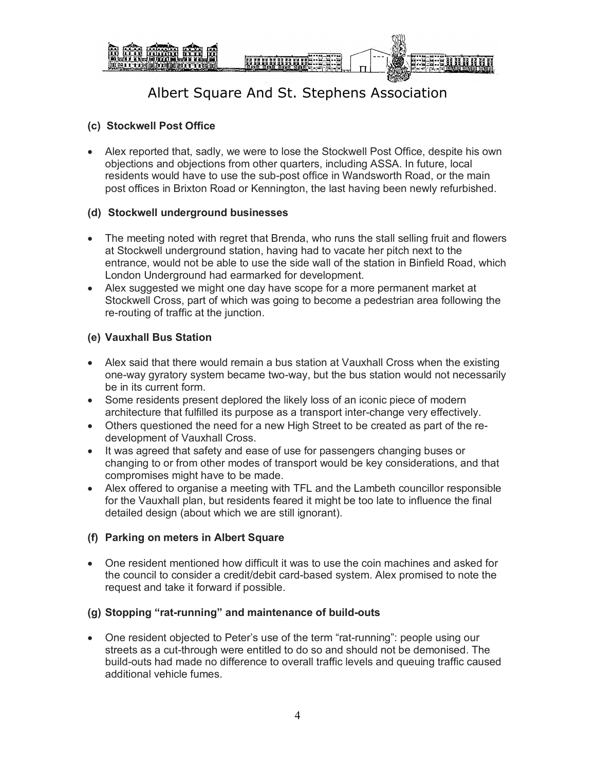

### **(c) Stockwell Post Office**

• Alex reported that, sadly, we were to lose the Stockwell Post Office, despite his own objections and objections from other quarters, including ASSA. In future, local residents would have to use the sub-post office in Wandsworth Road, or the main post offices in Brixton Road or Kennington, the last having been newly refurbished.

#### **(d) Stockwell underground businesses**

- The meeting noted with regret that Brenda, who runs the stall selling fruit and flowers at Stockwell underground station, having had to vacate her pitch next to the entrance, would not be able to use the side wall of the station in Binfield Road, which London Underground had earmarked for development.
- Alex suggested we might one day have scope for a more permanent market at Stockwell Cross, part of which was going to become a pedestrian area following the re-routing of traffic at the junction.

#### **(e) Vauxhall Bus Station**

- Alex said that there would remain a bus station at Vauxhall Cross when the existing one-way gyratory system became two-way, but the bus station would not necessarily be in its current form.
- Some residents present deplored the likely loss of an iconic piece of modern architecture that fulfilled its purpose as a transport inter-change very effectively.
- Others questioned the need for a new High Street to be created as part of the redevelopment of Vauxhall Cross.
- It was agreed that safety and ease of use for passengers changing buses or changing to or from other modes of transport would be key considerations, and that compromises might have to be made.
- Alex offered to organise a meeting with TFL and the Lambeth councillor responsible for the Vauxhall plan, but residents feared it might be too late to influence the final detailed design (about which we are still ignorant).

#### **(f) Parking on meters in Albert Square**

• One resident mentioned how difficult it was to use the coin machines and asked for the council to consider a credit/debit card-based system. Alex promised to note the request and take it forward if possible.

#### **(g) Stopping "rat-running" and maintenance of build-outs**

• One resident objected to Peter's use of the term "rat-running": people using our streets as a cut-through were entitled to do so and should not be demonised. The build-outs had made no difference to overall traffic levels and queuing traffic caused additional vehicle fumes.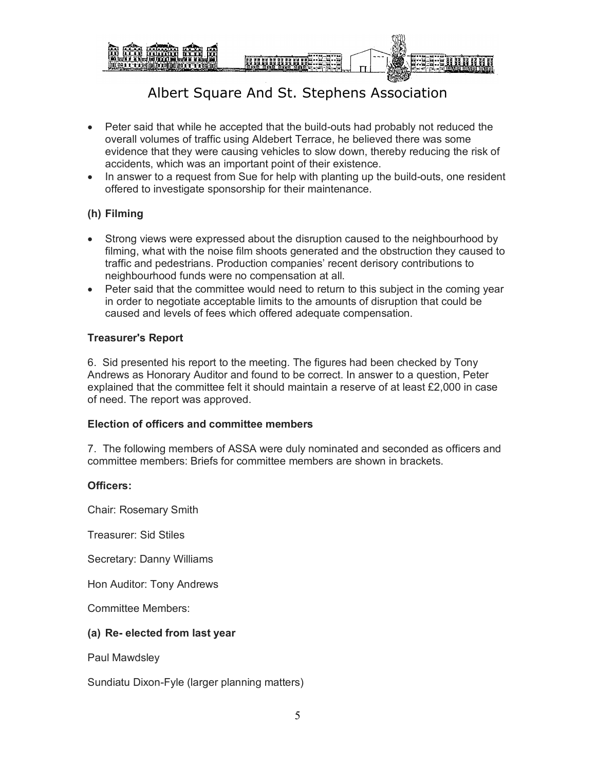

- Peter said that while he accepted that the build-outs had probably not reduced the overall volumes of traffic using Aldebert Terrace, he believed there was some evidence that they were causing vehicles to slow down, thereby reducing the risk of accidents, which was an important point of their existence.
- In answer to a request from Sue for help with planting up the build-outs, one resident offered to investigate sponsorship for their maintenance.

### **(h) Filming**

- Strong views were expressed about the disruption caused to the neighbourhood by filming, what with the noise film shoots generated and the obstruction they caused to traffic and pedestrians. Production companies' recent derisory contributions to neighbourhood funds were no compensation at all.
- Peter said that the committee would need to return to this subject in the coming year in order to negotiate acceptable limits to the amounts of disruption that could be caused and levels of fees which offered adequate compensation.

#### **Treasurer's Report**

6. Sid presented his report to the meeting. The figures had been checked by Tony Andrews as Honorary Auditor and found to be correct. In answer to a question, Peter explained that the committee felt it should maintain a reserve of at least £2,000 in case of need. The report was approved.

#### **Election of officers and committee members**

7. The following members of ASSA were duly nominated and seconded as officers and committee members: Briefs for committee members are shown in brackets.

#### **Officers:**

Chair: Rosemary Smith

Treasurer: Sid Stiles

Secretary: Danny Williams

Hon Auditor: Tony Andrews

Committee Members:

#### **(a) Re- elected from last year**

Paul Mawdsley

Sundiatu Dixon-Fyle (larger planning matters)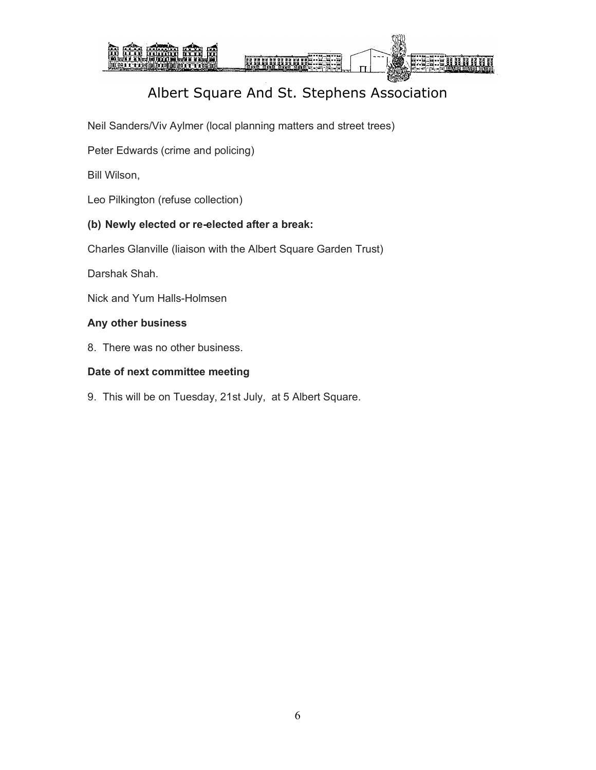

Neil Sanders/Viv Aylmer (local planning matters and street trees)

Peter Edwards (crime and policing)

Bill Wilson,

Leo Pilkington (refuse collection)

#### **(b) Newly elected or re-elected after a break:**

Charles Glanville (liaison with the Albert Square Garden Trust)

Darshak Shah.

Nick and Yum Halls-Holmsen

#### **Any other business**

8. There was no other business.

#### **Date of next committee meeting**

9. This will be on Tuesday, 21st July, at 5 Albert Square.